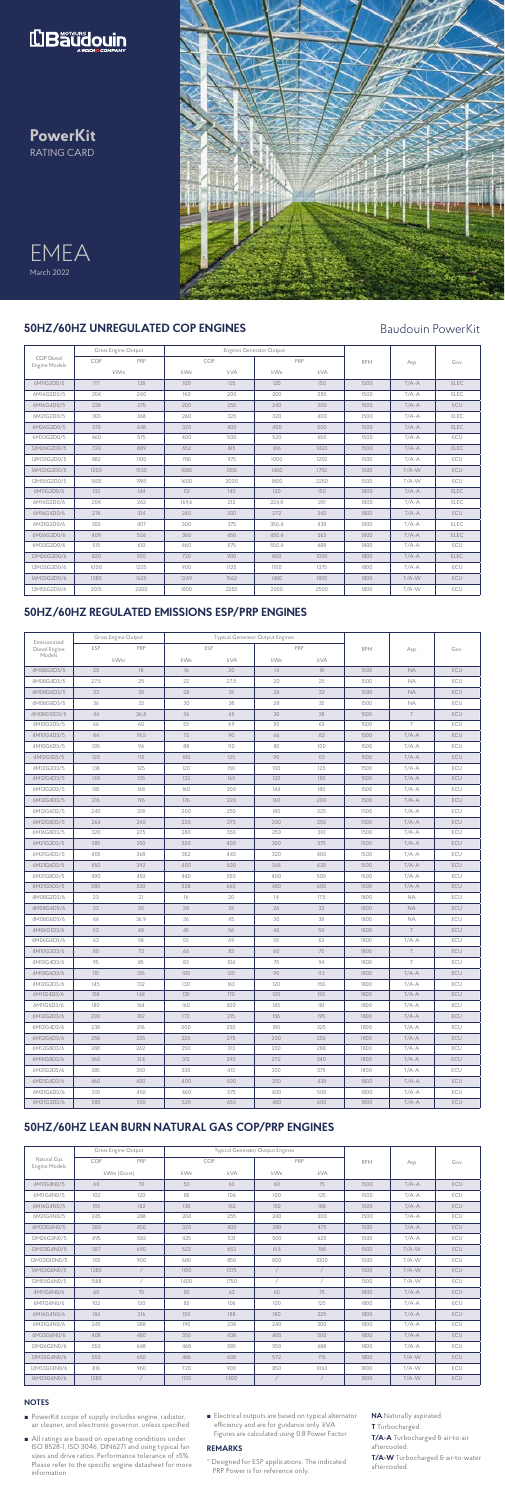





**PowerKit** RATING CARD

## **NOTES**

|                                           |      | Gross Engine Output |            |      | <b>Engines Generator Output</b> |      |            |         |             |
|-------------------------------------------|------|---------------------|------------|------|---------------------------------|------|------------|---------|-------------|
| <b>COP</b> Diesel<br><b>Engine Models</b> | COP  | PRP                 |            | COP  | PRP                             |      | <b>RPM</b> | Asp.    | Gov.        |
|                                           |      | kWm                 | kWe<br>kVA |      | kWe                             | kVA  |            |         |             |
| 6M11G2D0/5                                | 117  | 138                 | 100        | 125  | 120                             | 150  | 1500       | $T/A-A$ | <b>ELEC</b> |
| 6M16G2D0/5                                | 204  | 240                 | 160        | 200  | 200                             | 250  | 1500       | $T/A-A$ | <b>ELEC</b> |
| 6M16G4D0/5                                | 238  | 275                 | 200        | 250  | 240                             | 300  | 1500       | $T/A-A$ | <b>ECU</b>  |
| 6M21G2D0/5                                | 303  | 368                 | 260        | 325  | 320                             | 400  | 1500       | $T/A-A$ | ELEC        |
| 6M26G2D0/5                                | 370  | 448                 | 320        | 400  | 400                             | 500  | 1500       | $T/A-A$ | <b>ELEC</b> |
| 6M33G2D0/5                                | 460  | 575                 | 400        | 500  | 520                             | 650  | 1500       | $T/A-A$ | ECU         |
| 12M26G2D0/5                               | 720  | 889                 | 652        | 815  | 816                             | 1020 | 1500       | $T/A-A$ | <b>ELEC</b> |
| 12M33G2D0/5                               | 882  | 1100                | 780        | 975  | 1000                            | 1250 | 1500       | $T/A-A$ | ECU         |
| 16M33G2D0/5                               | 1200 | 1530                | 1080       | 1350 | 1400                            | 1750 | 1500       | $T/A-W$ | <b>ECU</b>  |
| 12M55G2D0/5                               | 1805 | 1985                | 1600       | 2000 | 1800                            | 2250 | 1500       | $T/A-W$ | ECU         |
| 6M11G2D0/6                                | 132  | 144                 | 112        | 140  | 120                             | 150  | 1800       | $T/A-A$ | <b>ELEC</b> |
| 6M16G2D0/6                                | 204  | 262                 | 169.6      | 212  | 224.8                           | 281  | 1800       | $T/A-A$ | <b>ELEC</b> |
| 6M16G4D0/6                                | 276  | 314                 | 240        | 300  | 272                             | 340  | 1800       | $T/A-A$ | <b>ECU</b>  |
| 6M21G2D0/6                                | 350  | 407                 | 300        | 375  | 350.4                           | 438  | 1800       | $T/A-A$ | <b>ELEC</b> |
| 6M26G2D0/6                                | 409  | 506                 | 360        | 450  | 450.4                           | 563  | 1800       | $T/A-A$ | <b>ELEC</b> |
| 6M33G2D0/6                                | 515  | 610                 | 460        | 575  | 550,4                           | 688  | 1800       | $T/A-A$ | ECU         |
| 12M26G2D0/6                               | 820  | 920                 | 720        | 900  | 800                             | 1000 | 1800       | $T/A-A$ | <b>ELEC</b> |
| 12M33G2D0/6                               | 1000 | 1235                | 900        | 1125 | 1100                            | 1375 | 1800       | $T/A-A$ | ECU         |
| 16M33G2D0/6                               | 1380 | 1625                | 1249       | 1562 | 1480                            | 1850 | 1800       | $T/A-W$ | <b>ECU</b>  |
| 12M55G2D0/6                               | 2015 | 2200                | 1800       | 2250 | 2000                            | 2500 | 1800       | $T/A-W$ | ECU         |

## **50HZ/60HZ UNREGULATED COP ENGINES**

|                                     |             | Gross Engine Output |      |      | <b>Typical Generator Output Engines</b> |            |            |         | Gov.       |  |
|-------------------------------------|-------------|---------------------|------|------|-----------------------------------------|------------|------------|---------|------------|--|
| Natural Gas<br><b>Engine Models</b> | COP         | PRP                 |      | COP  |                                         | PRP        | <b>RPM</b> | Asp.    |            |  |
|                                     | kWm (Gross) |                     | kWe  | kVA  |                                         | kWe<br>kVA |            |         |            |  |
| 4M11G4N0/5                          | 60          | 70                  | 50   | 63   | 60                                      | 75         | 1500       | $T/A-A$ | <b>ECU</b> |  |
| 6M11G4N0/5                          | 102         | 120                 | 85   | 106  | 100                                     | 125        | 1500       | $T/A-A$ | ECU        |  |
| 6M16G4N0/5                          | 155         | 182                 | 130  | 163  | 150                                     | 188        | 1500       | $T/A-A$ | <b>ECU</b> |  |
| 6M21G4N0/5                          | 245         | 288                 | 204  | 255  | 240                                     | 300        | 1500       | $T/A-A$ | ECU        |  |
| 6M33G6N0/5                          | 380         | 450                 | 320  | 400  | 380                                     | 475        | 1500       | $T/A-A$ | <b>ECU</b> |  |
| 12M26G2N0/5                         | 495         | 582                 | 425  | 531  | 500                                     | 625        | 1500       | $T/A-A$ | ECU        |  |
| 12M33G4N0/5                         | 587         | 690                 | 522  | 653  | 614                                     | 768        | 1500       | $T/A-W$ | <b>ECU</b> |  |
| 12M33G10N0/5                        | 765         | 900                 | 680  | 850  | 800                                     | 1000       | 1500       | T/A-W   | ECU        |  |
| 16M33G6N0/5                         | 1280        | $\sqrt{2}$          | 1100 | 1375 | $\sqrt{2}$                              |            | 1500       | $T/A-W$ | <b>ECU</b> |  |
| 12M55G6N0/5                         | 1588        | $\sqrt{2}$          | 1400 | 1750 | $\sqrt{2}$                              |            | 1500       | $T/A-W$ | ECU        |  |
| 4M11G4N0/6                          | 60          | 70                  | 50   | 63   | 60                                      | 75         | 1800       | $T/A-A$ | ECU        |  |
| 6M11G4N0/6                          | 102         | 120                 | 85   | 106  | 100                                     | 125        | 1800       | $T/A-A$ | ECU        |  |
| 6M16G4N0/6                          | 184         | 216                 | 150  | 188  | 180                                     | 225        | 1800       | $T/A-A$ | <b>ECU</b> |  |
| 6M21G4N0/6                          | 245         | 288                 | 190  | 238  | 240                                     | 300        | 1800       | $T/A-A$ | ECU        |  |
| 6M33G6N0/6                          | 408         | 480                 | 350  | 438  | 400                                     | 500        | 1800       | $T/A-A$ | <b>ECU</b> |  |
| 12M26G2N0/6                         | 550         | 648                 | 468  | 585  | 550                                     | 688        | 1800       | $T/A-A$ | ECU        |  |
| 12M33G4N0/6                         | 553         | 650                 | 486  | 608  | 572                                     | 715        | 1800       | $T/A-W$ | <b>ECU</b> |  |
| 12M33G14N0/6                        | 816         | 960                 | 720  | 900  | 850                                     | 1063       | 1800       | $T/A-W$ | ECU        |  |
| 16M33G6N0/6                         | 1280        | $\sqrt{2}$          | 1120 | 1400 | $\sqrt{2}$                              |            | 1800       | $T/A-W$ | ECU        |  |

- PowerKit scope of supply includes engine, radiator, air cleaner, and electronic governor, unless specified
- All ratings are based on operating conditions under ISO 8528-1, ISO 3046, DIN6271 and using typical fan sizes and drive ratios. Performance tolerance of ±5%. Please refer to the specific engine datasheet for more information
- Electrical outputs are based on typical alternator efficiency and are for guidance only. kVA Figures are calculated using 0.8 Power Factor

## **50HZ/60HZ LEAN BURN NATURAL GAS COP/PRP ENGINES**

## **50HZ/60HZ REGULATED EMISSIONS ESP/PRP ENGINES**

| Emissionized  | Gross Engine Output |      |     |            | Typical Generator Output Engines |      |            |           |            |
|---------------|---------------------|------|-----|------------|----------------------------------|------|------------|-----------|------------|
| Diesel Engine | ESP                 | PRP  |     | <b>ESP</b> |                                  | PRP  | <b>RPM</b> | Asp.      | Gov.       |
| Models        |                     | kWm  | kWe | kVA        | kWe                              | kVA  |            |           |            |
| 4M08G2D3/5    | 20                  | 18   | 16  | 20         | 14                               | 18   | 1500       | <b>NA</b> | ECU        |
| 4M08G4D3/5    | 27,5                | 25   | 22  | 27,5       | 20                               | 25   | 1500       | <b>NA</b> | ECU        |
| 4M08G6D3/5    | 33                  | 30   | 28  | 35         | 26                               | 32   | 1500       | <b>NA</b> | <b>ECU</b> |
| 4M08G8D3/5    | 36                  | 33   | 30  | 38         | 28                               | 35   | 1500       | <b>NA</b> | ECU        |
| 4M08G10D3/5   | 44                  | 36,8 | 36  | 45         | 30                               | 38   | 1500       | $\top$    | ECU        |
| 4M10G2D3/5    | 66                  | 60   | 55  | 69         | 50                               | 63   | 1500       | $\top$    | ECU        |
| 4M10G4D3/5    | 84                  | 74,5 | 72  | 90         | 66                               | 82   | 1500       | $T/A-A$   | ECU        |
| 4M10G6D3/5    | 105                 | 96   | 88  | 110        | 80                               | 100  | 1500       | $T/A-A$   | ECU        |
| 4M12G1D3/5    | 120                 | 110  | 100 | 125        | 90                               | 113  | 1500       | $T/A-A$   | ECU        |
| 4M12G2D3/5    | 138                 | 125  | 120 | 150        | 100                              | 125  | 1500       | $T/A-A$   | ECU        |
| 4M12G4D3/5    | 148                 | 135  | 132 | 165        | 120                              | 150  | 1500       | $T/A-A$   | ECU        |
| 6M12G2D3/5    | 185                 | 168  | 160 | 200        | 144                              | 180  | 1500       | $T/A-A$   | ECU        |
| 6M12G4D3/5    | 216                 | 196  | 176 | 220        | 160                              | 200  | 1500       | $T/A-A$   | ECU        |
| 6M12G6D3/5    | 240                 | 218  | 200 | 250        | 180                              | 225  | 1500       | $T/A-A$   | ECU        |
| 6M12G8D3/5    | 264                 | 240  | 220 | 275        | 200                              | 250  | 1500       | $T/A-A$   | ECU        |
| 6M16G8D3/5    | 320                 | 275  | 280 | 350        | 250                              | 310  | 1500       | $T/A-A$   | ECU        |
| 6M21G2D3/5    | 385                 | 350  | 320 | 400        | 300                              | 375  | 1500       | $T/A-A$   | ECU        |
| 6M21G4D3/5    | 405                 | 368  | 352 | 440        | 320                              | 400  | 1500       | $T/A-A$   | ECU        |
| 6M21G6D3/5    | 450                 | 392  | 400 | 500        | 344                              | 430  | 1500       | $T/A-A$   | ECU        |
| 6M21G8D3/5    | 490                 | 450  | 440 | 550        | 400                              | 500  | 1500       | $T/A-A$   | ECU        |
| 8M21G5D3/5    | 580                 | 530  | 528 | 660        | 480                              | 600  | 1500       | $T/A-A$   | ECU        |
| 4M08G2D3/6    | 23                  | 21   | 16  | 20         | 14                               | 17,5 | 1800       | <b>NA</b> | ECU        |
| 4M08G4D3/6    | 33                  | 30   | 28  | 35         | 26                               | 32   | 1800       | <b>NA</b> | ECU        |
| 4M08G6D3/6    | 44                  | 36,9 | 36  | 45         | 30                               | 38   | 1800       | <b>NA</b> | ECU        |
| 4M06G1D3/6    | 53                  | 48   | 45  | 56         | 40                               | 50   | 1800       | $\top$    | ECU        |
| 4M06G4D3/6    | 63                  | 58   | 55  | 69         | 50                               | 63   | 1800       | $T/A-A$   | ECU        |
| 4M10G2D3/6    | 80                  | 72   | 66  | 83         | 60                               | 75   | 1800       | $\top$    | ECU        |
| 4M10G4D3/6    | 95                  | 85   | 83  | 104        | 75                               | 94   | 1800       | Τ         | ECU        |
| 4M10G6D3/6    | 115                 | 105  | 100 | 125        | 90                               | 113  | 1800       | $T/A-A$   | ECU        |
| 4M12G2D3/6    | 145                 | 132  | 130 | 163        | 120                              | 150  | 1800       | $T/A-A$   | ECU        |
| 6M11G4D3/6    | 158                 | 144  | 135 | 170        | 120                              | 150  | 1800       | $T/A-A$   | ECU        |
| 6M11G6D3/6    | 180                 | 164  | 160 | 200        | 145                              | 181  | 1800       | $T/A-A$   | ECU        |
| 6M12G2D3/6    | 200                 | 182  | 172 | 215        | 156                              | 195  | 1800       | $T/A-A$   | ECU        |
| 6M12G4D3/6    | 238                 | 216  | 200 | 250        | 180                              | 225  | 1800       | $T/A-A$   | ECU        |
| 6M12G6D3/6    | 258                 | 235  | 220 | 275        | 200                              | 250  | 1800       | $T/A-A$   | ECU        |
| 6M12G8D3/6    | 288                 | 262  | 250 | 313        | 230                              | 288  | 1800       | $T/A-A$   | ECU        |
| 6M16G8D3/6    | 360                 | 314  | 312 | 390        | 272                              | 340  | 1800       | $T/A-A$   | ECU        |
| 6M21G2D3/6    | 385                 | 350  | 330 | 413        | 300                              | 375  | 1800       | T/A-A     | ECU        |
| 6M21G4D3/6    | 460                 | 400  | 400 | 500        | 350                              | 438  | 1800       | $T/A-A$   | <b>ECU</b> |
| 6M21G6D3/6    | 510                 | 450  | 460 | 575        | 400                              | 500  | 1800       | T/A-A     | ECU        |
| 8M21G3D3/6    | 580                 | 530  | 520 | 650        | 480                              | 600  | 1800       | $T/A-A$   | <b>ECU</b> |

# Baudouin PowerKit

### **REMARKS**

- ^ Designed for ESP applications. The indicated PRP Power is for reference only.
- **NA** Naturally aspirated.
- **<sup>T</sup>**Turbocharged.
- **T/A-A** Turbocharged & air-to-air aftercooled.

**T/A-W** Turbocharged & air-to-water aftercooled.